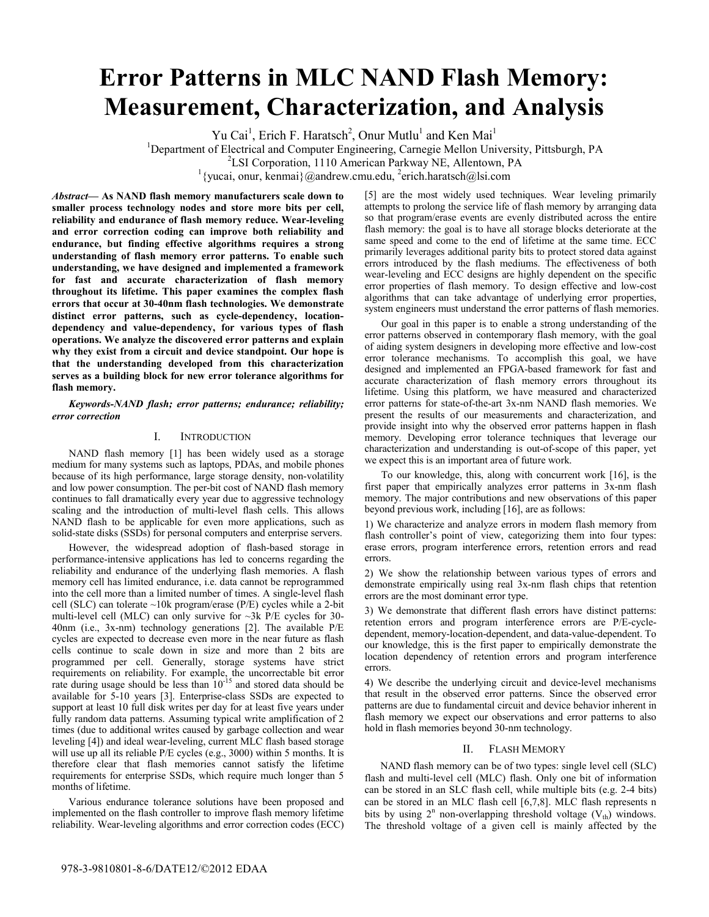# **Error Patterns in MLC NAND Flash Memory: Measurement, Characterization, and Analysis**

Yu Cai<sup>1</sup>, Erich F. Haratsch<sup>2</sup>, Onur Mutlu<sup>1</sup> and Ken Mai<sup>1</sup>

<sup>1</sup>Department of Electrical and Computer Engineering, Carnegie Mellon University, Pittsburgh, PA  $^{2}$  EV Corporation 1110 American Berkusy NE, Allentour, BA

<sup>2</sup>LSI Corporation, 1110 American Parkway NE, Allentown, PA

{yucai, onur, kenmai}@andrew.cmu.edu, 2 erich.haratsch@lsi.com

*Abstract***— As NAND flash memory manufacturers scale down to smaller process technology nodes and store more bits per cell, reliability and endurance of flash memory reduce. Wear-leveling and error correction coding can improve both reliability and endurance, but finding effective algorithms requires a strong understanding of flash memory error patterns. To enable such understanding, we have designed and implemented a framework for fast and accurate characterization of flash memory throughout its lifetime. This paper examines the complex flash errors that occur at 30-40nm flash technologies. We demonstrate distinct error patterns, such as cycle-dependency, locationdependency and value-dependency, for various types of flash operations. We analyze the discovered error patterns and explain why they exist from a circuit and device standpoint. Our hope is that the understanding developed from this characterization serves as a building block for new error tolerance algorithms for flash memory.** 

*Keywords-NAND flash; error patterns; endurance; reliability; error correction* 

## I. INTRODUCTION

NAND flash memory [1] has been widely used as a storage medium for many systems such as laptops, PDAs, and mobile phones because of its high performance, large storage density, non-volatility and low power consumption. The per-bit cost of NAND flash memory continues to fall dramatically every year due to aggressive technology scaling and the introduction of multi-level flash cells. This allows NAND flash to be applicable for even more applications, such as solid-state disks (SSDs) for personal computers and enterprise servers.

However, the widespread adoption of flash-based storage in performance-intensive applications has led to concerns regarding the reliability and endurance of the underlying flash memories. A flash memory cell has limited endurance, i.e. data cannot be reprogrammed into the cell more than a limited number of times. A single-level flash cell (SLC) can tolerate ~10k program/erase (P/E) cycles while a 2-bit multi-level cell (MLC) can only survive for ~3k P/E cycles for 30- 40nm (i.e., 3x-nm) technology generations [2]. The available P/E cycles are expected to decrease even more in the near future as flash cells continue to scale down in size and more than 2 bits are programmed per cell. Generally, storage systems have strict requirements on reliability. For example, the uncorrectable bit error rate during usage should be less than  $10^{-15}$  and stored data should be available for 5-10 years [3]. Enterprise-class SSDs are expected to support at least 10 full disk writes per day for at least five years under fully random data patterns. Assuming typical write amplification of 2 times (due to additional writes caused by garbage collection and wear leveling [4]) and ideal wear-leveling, current MLC flash based storage will use up all its reliable P/E cycles (e.g., 3000) within 5 months. It is therefore clear that flash memories cannot satisfy the lifetime requirements for enterprise SSDs, which require much longer than 5 months of lifetime.

Various endurance tolerance solutions have been proposed and implemented on the flash controller to improve flash memory lifetime reliability. Wear-leveling algorithms and error correction codes (ECC)

[5] are the most widely used techniques. Wear leveling primarily attempts to prolong the service life of flash memory by arranging data so that program/erase events are evenly distributed across the entire flash memory: the goal is to have all storage blocks deteriorate at the same speed and come to the end of lifetime at the same time. ECC primarily leverages additional parity bits to protect stored data against errors introduced by the flash mediums. The effectiveness of both wear-leveling and ECC designs are highly dependent on the specific error properties of flash memory. To design effective and low-cost algorithms that can take advantage of underlying error properties, system engineers must understand the error patterns of flash memories.

Our goal in this paper is to enable a strong understanding of the error patterns observed in contemporary flash memory, with the goal of aiding system designers in developing more effective and low-cost error tolerance mechanisms. To accomplish this goal, we have designed and implemented an FPGA-based framework for fast and accurate characterization of flash memory errors throughout its lifetime. Using this platform, we have measured and characterized error patterns for state-of-the-art 3x-nm NAND flash memories. We present the results of our measurements and characterization, and provide insight into why the observed error patterns happen in flash memory. Developing error tolerance techniques that leverage our characterization and understanding is out-of-scope of this paper, yet we expect this is an important area of future work.

To our knowledge, this, along with concurrent work [16], is the first paper that empirically analyzes error patterns in 3x-nm flash memory. The major contributions and new observations of this paper beyond previous work, including [16], are as follows:

1) We characterize and analyze errors in modern flash memory from flash controller's point of view, categorizing them into four types: erase errors, program interference errors, retention errors and read errors.

2) We show the relationship between various types of errors and demonstrate empirically using real 3x-nm flash chips that retention errors are the most dominant error type.

3) We demonstrate that different flash errors have distinct patterns: retention errors and program interference errors are P/E-cycledependent, memory-location-dependent, and data-value-dependent. To our knowledge, this is the first paper to empirically demonstrate the location dependency of retention errors and program interference errors.

4) We describe the underlying circuit and device-level mechanisms that result in the observed error patterns. Since the observed error patterns are due to fundamental circuit and device behavior inherent in flash memory we expect our observations and error patterns to also hold in flash memories beyond 30-nm technology.

## II. FLASH MEMORY

NAND flash memory can be of two types: single level cell (SLC) flash and multi-level cell (MLC) flash. Only one bit of information can be stored in an SLC flash cell, while multiple bits (e.g. 2-4 bits) can be stored in an MLC flash cell [6,7,8]. MLC flash represents n bits by using  $2^n$  non-overlapping threshold voltage  $(V_{th})$  windows. The threshold voltage of a given cell is mainly affected by the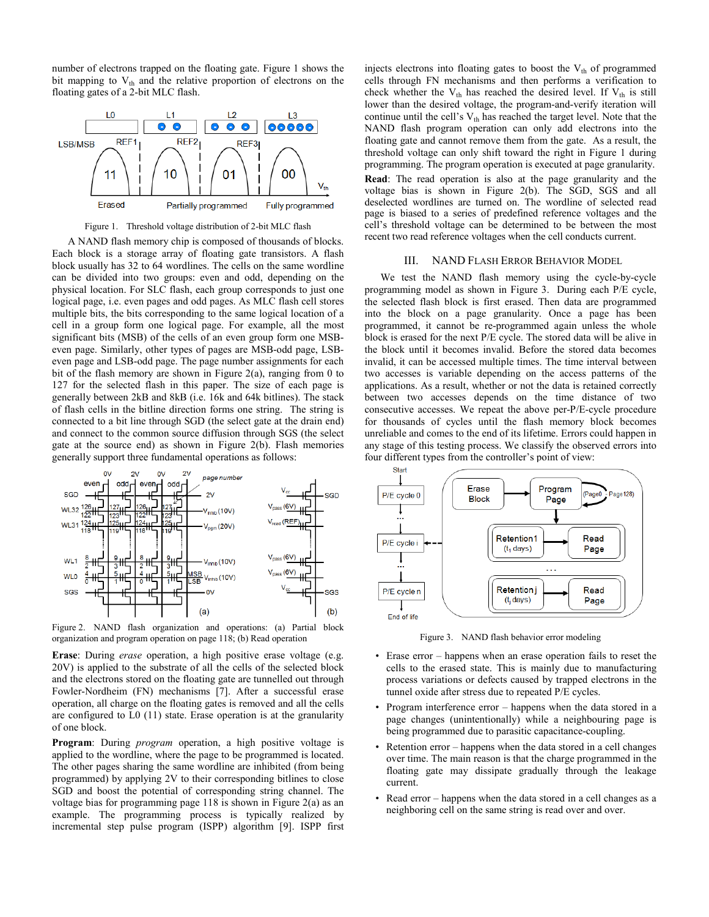number of electrons trapped on the floating gate. Figure 1 shows the bit mapping to  $V_{th}$  and the relative proportion of electrons on the floating gates of a 2-bit MLC flash.



Figure 1. Threshold voltage distribution of 2-bit MLC flash

A NAND flash memory chip is composed of thousands of blocks. Each block is a storage array of floating gate transistors. A flash block usually has 32 to 64 wordlines. The cells on the same wordline can be divided into two groups: even and odd, depending on the physical location. For SLC flash, each group corresponds to just one logical page, i.e. even pages and odd pages. As MLC flash cell stores multiple bits, the bits corresponding to the same logical location of a cell in a group form one logical page. For example, all the most significant bits (MSB) of the cells of an even group form one MSBeven page. Similarly, other types of pages are MSB-odd page, LSBeven page and LSB-odd page. The page number assignments for each bit of the flash memory are shown in Figure  $2(a)$ , ranging from 0 to 127 for the selected flash in this paper. The size of each page is generally between 2kB and 8kB (i.e. 16k and 64k bitlines). The stack of flash cells in the bitline direction forms one string. The string is connected to a bit line through SGD (the select gate at the drain end) and connect to the common source diffusion through SGS (the select gate at the source end) as shown in Figure 2(b). Flash memories generally support three fundamental operations as follows:



Figure 2. NAND flash organization and operations: (a) Partial block organization and program operation on page 118; (b) Read operation

**Erase**: During *erase* operation, a high positive erase voltage (e.g. 20V) is applied to the substrate of all the cells of the selected block and the electrons stored on the floating gate are tunnelled out through Fowler-Nordheim (FN) mechanisms [7]. After a successful erase operation, all charge on the floating gates is removed and all the cells are configured to L0 (11) state. Erase operation is at the granularity of one block.

**Program**: During *program* operation, a high positive voltage is applied to the wordline, where the page to be programmed is located. The other pages sharing the same wordline are inhibited (from being programmed) by applying 2V to their corresponding bitlines to close SGD and boost the potential of corresponding string channel. The voltage bias for programming page 118 is shown in Figure 2(a) as an example. The programming process is typically realized by incremental step pulse program (ISPP) algorithm [9]. ISPP first injects electrons into floating gates to boost the  $V_{th}$  of programmed cells through FN mechanisms and then performs a verification to check whether the  $V_{th}$  has reached the desired level. If  $V_{th}$  is still lower than the desired voltage, the program-and-verify iteration will continue until the cell's  $V_{th}$  has reached the target level. Note that the NAND flash program operation can only add electrons into the floating gate and cannot remove them from the gate. As a result, the threshold voltage can only shift toward the right in Figure 1 during programming. The program operation is executed at page granularity.

**Read**: The read operation is also at the page granularity and the voltage bias is shown in Figure 2(b). The SGD, SGS and all deselected wordlines are turned on. The wordline of selected read page is biased to a series of predefined reference voltages and the cell's threshold voltage can be determined to be between the most recent two read reference voltages when the cell conducts current.

#### III. NAND FLASH ERROR BEHAVIOR MODEL

We test the NAND flash memory using the cycle-by-cycle programming model as shown in Figure 3. During each P/E cycle, the selected flash block is first erased. Then data are programmed into the block on a page granularity. Once a page has been programmed, it cannot be re-programmed again unless the whole block is erased for the next P/E cycle. The stored data will be alive in the block until it becomes invalid. Before the stored data becomes invalid, it can be accessed multiple times. The time interval between two accesses is variable depending on the access patterns of the applications. As a result, whether or not the data is retained correctly between two accesses depends on the time distance of two consecutive accesses. We repeat the above per-P/E-cycle procedure for thousands of cycles until the flash memory block becomes unreliable and comes to the end of its lifetime. Errors could happen in any stage of this testing process. We classify the observed errors into four different types from the controller's point of view:



Figure 3. NAND flash behavior error modeling

- Erase error happens when an erase operation fails to reset the cells to the erased state. This is mainly due to manufacturing process variations or defects caused by trapped electrons in the tunnel oxide after stress due to repeated P/E cycles.
- Program interference error happens when the data stored in a page changes (unintentionally) while a neighbouring page is being programmed due to parasitic capacitance-coupling.
- Retention error happens when the data stored in a cell changes over time. The main reason is that the charge programmed in the floating gate may dissipate gradually through the leakage current.
- Read error happens when the data stored in a cell changes as a neighboring cell on the same string is read over and over.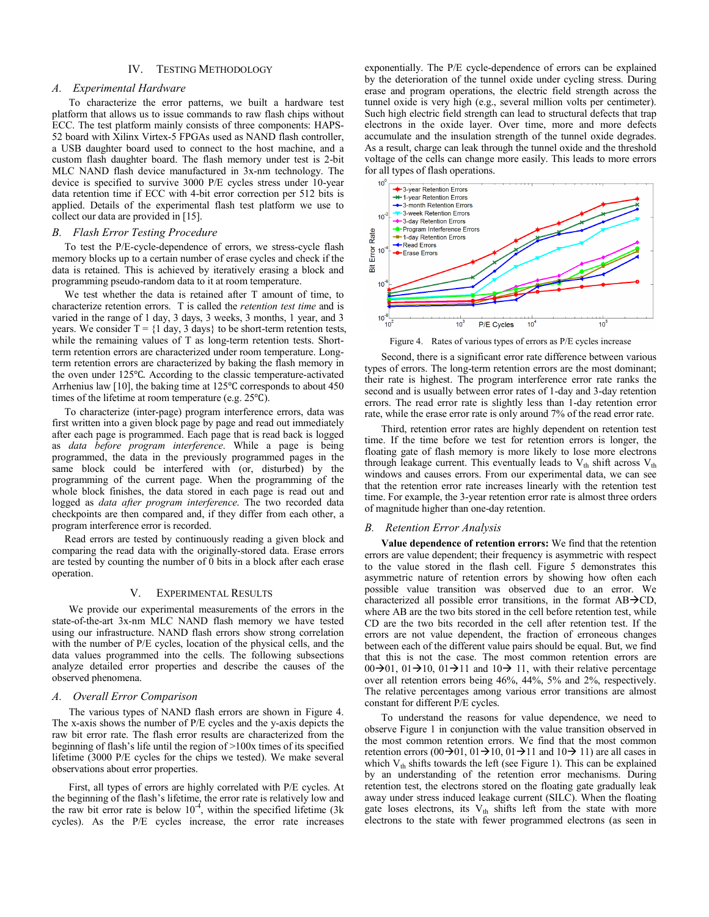#### IV. TESTING METHODOLOGY

#### *A. Experimental Hardware*

To characterize the error patterns, we built a hardware test platform that allows us to issue commands to raw flash chips without ECC. The test platform mainly consists of three components: HAPS-52 board with Xilinx Virtex-5 FPGAs used as NAND flash controller, a USB daughter board used to connect to the host machine, and a custom flash daughter board. The flash memory under test is 2-bit MLC NAND flash device manufactured in 3x-nm technology. The device is specified to survive 3000 P/E cycles stress under 10-year data retention time if ECC with 4-bit error correction per 512 bits is applied. Details of the experimental flash test platform we use to collect our data are provided in [15].

#### *B. Flash Error Testing Procedure*

To test the P/E-cycle-dependence of errors, we stress-cycle flash memory blocks up to a certain number of erase cycles and check if the data is retained. This is achieved by iteratively erasing a block and programming pseudo-random data to it at room temperature.

We test whether the data is retained after T amount of time, to characterize retention errors. T is called the *retention test time* and is varied in the range of 1 day, 3 days, 3 weeks, 3 months, 1 year, and 3 years. We consider  $T = \{1 \text{ day}, 3 \text{ days}\}\)$  to be short-term retention tests, while the remaining values of T as long-term retention tests. Shortterm retention errors are characterized under room temperature. Longterm retention errors are characterized by baking the flash memory in the oven under 125℃. According to the classic temperature-activated Arrhenius law [10], the baking time at 125℃ corresponds to about 450 times of the lifetime at room temperature (e.g. 25℃).

To characterize (inter-page) program interference errors, data was first written into a given block page by page and read out immediately after each page is programmed. Each page that is read back is logged as *data before program interference*. While a page is being programmed, the data in the previously programmed pages in the same block could be interfered with (or, disturbed) by the programming of the current page. When the programming of the whole block finishes, the data stored in each page is read out and logged as *data after program interference*. The two recorded data checkpoints are then compared and, if they differ from each other, a program interference error is recorded.

Read errors are tested by continuously reading a given block and comparing the read data with the originally-stored data. Erase errors are tested by counting the number of 0 bits in a block after each erase operation.

#### V. EXPERIMENTAL RESULTS

We provide our experimental measurements of the errors in the state-of-the-art 3x-nm MLC NAND flash memory we have tested using our infrastructure. NAND flash errors show strong correlation with the number of P/E cycles, location of the physical cells, and the data values programmed into the cells. The following subsections analyze detailed error properties and describe the causes of the observed phenomena.

#### *A. Overall Error Comparison*

The various types of NAND flash errors are shown in Figure 4. The x-axis shows the number of P/E cycles and the y-axis depicts the raw bit error rate. The flash error results are characterized from the beginning of flash's life until the region of >100x times of its specified lifetime (3000 P/E cycles for the chips we tested). We make several observations about error properties.

First, all types of errors are highly correlated with P/E cycles. At the beginning of the flash's lifetime, the error rate is relatively low and the raw bit error rate is below  $10^{-4}$ , within the specified lifetime (3k cycles). As the P/E cycles increase, the error rate increases exponentially. The P/E cycle-dependence of errors can be explained by the deterioration of the tunnel oxide under cycling stress. During erase and program operations, the electric field strength across the tunnel oxide is very high (e.g., several million volts per centimeter). Such high electric field strength can lead to structural defects that trap electrons in the oxide layer. Over time, more and more defects accumulate and the insulation strength of the tunnel oxide degrades. As a result, charge can leak through the tunnel oxide and the threshold voltage of the cells can change more easily. This leads to more errors for all types of flash operations.



Figure 4. Rates of various types of errors as P/E cycles increase

Second, there is a significant error rate difference between various types of errors. The long-term retention errors are the most dominant; their rate is highest. The program interference error rate ranks the second and is usually between error rates of 1-day and 3-day retention errors. The read error rate is slightly less than 1-day retention error rate, while the erase error rate is only around 7% of the read error rate.

Third, retention error rates are highly dependent on retention test time. If the time before we test for retention errors is longer, the floating gate of flash memory is more likely to lose more electrons through leakage current. This eventually leads to  $V_{th}$  shift across  $V_{th}$ windows and causes errors. From our experimental data, we can see that the retention error rate increases linearly with the retention test time. For example, the 3-year retention error rate is almost three orders of magnitude higher than one-day retention.

#### *B. Retention Error Analysis*

**Value dependence of retention errors:** We find that the retention errors are value dependent; their frequency is asymmetric with respect to the value stored in the flash cell. Figure 5 demonstrates this asymmetric nature of retention errors by showing how often each possible value transition was observed due to an error. We characterized all possible error transitions, in the format  $AB \rightarrow CD$ , where AB are the two bits stored in the cell before retention test, while CD are the two bits recorded in the cell after retention test. If the errors are not value dependent, the fraction of erroneous changes between each of the different value pairs should be equal. But, we find that this is not the case. The most common retention errors are 00 $\rightarrow$ 01, 01 $\rightarrow$ 10, 01 $\rightarrow$ 11 and 10 $\rightarrow$  11, with their relative percentage over all retention errors being 46%, 44%, 5% and 2%, respectively. The relative percentages among various error transitions are almost constant for different P/E cycles.

To understand the reasons for value dependence, we need to observe Figure 1 in conjunction with the value transition observed in the most common retention errors. We find that the most common retention errors (00 $\rightarrow$ 01, 01 $\rightarrow$ 10, 01 $\rightarrow$ 11 and 10 $\rightarrow$  11) are all cases in which  $V_{th}$  shifts towards the left (see Figure 1). This can be explained by an understanding of the retention error mechanisms. During retention test, the electrons stored on the floating gate gradually leak away under stress induced leakage current (SILC). When the floating gate loses electrons, its  $V_{th}$  shifts left from the state with more electrons to the state with fewer programmed electrons (as seen in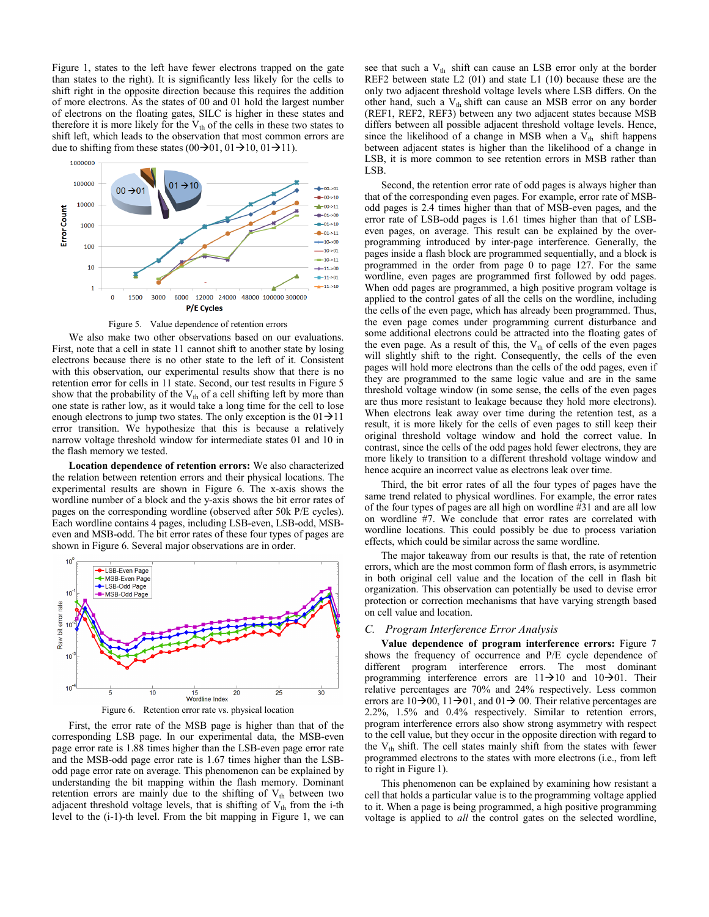Figure 1, states to the left have fewer electrons trapped on the gate than states to the right). It is significantly less likely for the cells to shift right in the opposite direction because this requires the addition of more electrons. As the states of 00 and 01 hold the largest number of electrons on the floating gates, SILC is higher in these states and therefore it is more likely for the  $V_{th}$  of the cells in these two states to shift left, which leads to the observation that most common errors are due to shifting from these states  $(00\rightarrow 01, 01\rightarrow 10, 01\rightarrow 11)$ .



Figure 5. Value dependence of retention errors

We also make two other observations based on our evaluations. First, note that a cell in state 11 cannot shift to another state by losing electrons because there is no other state to the left of it. Consistent with this observation, our experimental results show that there is no retention error for cells in 11 state. Second, our test results in Figure 5 show that the probability of the  $V_{th}$  of a cell shifting left by more than one state is rather low, as it would take a long time for the cell to lose enough electrons to jump two states. The only exception is the  $01\rightarrow 11$ error transition. We hypothesize that this is because a relatively narrow voltage threshold window for intermediate states 01 and 10 in the flash memory we tested.

**Location dependence of retention errors:** We also characterized the relation between retention errors and their physical locations. The experimental results are shown in Figure 6. The x-axis shows the wordline number of a block and the y-axis shows the bit error rates of pages on the corresponding wordline (observed after 50k P/E cycles). Each wordline contains 4 pages, including LSB-even, LSB-odd, MSBeven and MSB-odd. The bit error rates of these four types of pages are shown in Figure 6. Several major observations are in order.



First, the error rate of the MSB page is higher than that of the corresponding LSB page. In our experimental data, the MSB-even page error rate is 1.88 times higher than the LSB-even page error rate and the MSB-odd page error rate is 1.67 times higher than the LSBodd page error rate on average. This phenomenon can be explained by understanding the bit mapping within the flash memory. Dominant retention errors are mainly due to the shifting of  $V_{th}$  between two adjacent threshold voltage levels, that is shifting of  $V_{th}$  from the i-th level to the (i-1)-th level. From the bit mapping in Figure 1, we can see that such a  $V_{th}$  shift can cause an LSB error only at the border REF2 between state L2 (01) and state L1 (10) because these are the only two adjacent threshold voltage levels where LSB differs. On the other hand, such a  $V_{th}$  shift can cause an MSB error on any border (REF1, REF2, REF3) between any two adjacent states because MSB differs between all possible adjacent threshold voltage levels. Hence, since the likelihood of a change in MSB when a  $V_{th}$  shift happens between adjacent states is higher than the likelihood of a change in LSB, it is more common to see retention errors in MSB rather than LSB.

Second, the retention error rate of odd pages is always higher than that of the corresponding even pages. For example, error rate of MSBodd pages is 2.4 times higher than that of MSB-even pages, and the error rate of LSB-odd pages is 1.61 times higher than that of LSBeven pages, on average. This result can be explained by the overprogramming introduced by inter-page interference. Generally, the pages inside a flash block are programmed sequentially, and a block is programmed in the order from page 0 to page 127. For the same wordline, even pages are programmed first followed by odd pages. When odd pages are programmed, a high positive program voltage is applied to the control gates of all the cells on the wordline, including the cells of the even page, which has already been programmed. Thus, the even page comes under programming current disturbance and some additional electrons could be attracted into the floating gates of the even page. As a result of this, the  $V_{th}$  of cells of the even pages will slightly shift to the right. Consequently, the cells of the even pages will hold more electrons than the cells of the odd pages, even if they are programmed to the same logic value and are in the same threshold voltage window (in some sense, the cells of the even pages are thus more resistant to leakage because they hold more electrons). When electrons leak away over time during the retention test, as a result, it is more likely for the cells of even pages to still keep their original threshold voltage window and hold the correct value. In contrast, since the cells of the odd pages hold fewer electrons, they are more likely to transition to a different threshold voltage window and hence acquire an incorrect value as electrons leak over time.

Third, the bit error rates of all the four types of pages have the same trend related to physical wordlines. For example, the error rates of the four types of pages are all high on wordline #31 and are all low on wordline #7. We conclude that error rates are correlated with wordline locations. This could possibly be due to process variation effects, which could be similar across the same wordline.

The major takeaway from our results is that, the rate of retention errors, which are the most common form of flash errors, is asymmetric in both original cell value and the location of the cell in flash bit organization. This observation can potentially be used to devise error protection or correction mechanisms that have varying strength based on cell value and location.

## *C. Program Interference Error Analysis*

**Value dependence of program interference errors:** Figure 7 shows the frequency of occurrence and P/E cycle dependence of different program interference errors. The most dominant programming interference errors are  $11\rightarrow 10$  and  $10\rightarrow 01$ . Their relative percentages are 70% and 24% respectively. Less common errors are  $10\rightarrow 00$ ,  $11\rightarrow 01$ , and  $01\rightarrow 00$ . Their relative percentages are 2.2%, 1.5% and 0.4% respectively. Similar to retention errors, program interference errors also show strong asymmetry with respect to the cell value, but they occur in the opposite direction with regard to the  $V_{th}$  shift. The cell states mainly shift from the states with fewer programmed electrons to the states with more electrons (i.e., from left to right in Figure 1).

This phenomenon can be explained by examining how resistant a cell that holds a particular value is to the programming voltage applied to it. When a page is being programmed, a high positive programming voltage is applied to *all* the control gates on the selected wordline,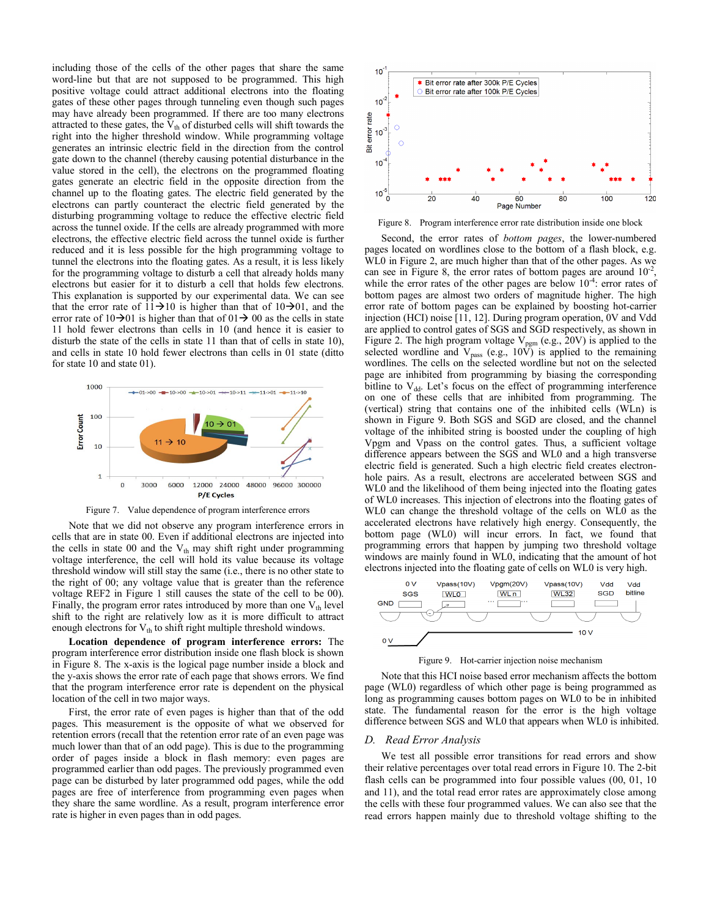including those of the cells of the other pages that share the same word-line but that are not supposed to be programmed. This high positive voltage could attract additional electrons into the floating gates of these other pages through tunneling even though such pages may have already been programmed. If there are too many electrons attracted to these gates, the  $V_{th}$  of disturbed cells will shift towards the right into the higher threshold window. While programming voltage generates an intrinsic electric field in the direction from the control gate down to the channel (thereby causing potential disturbance in the value stored in the cell), the electrons on the programmed floating gates generate an electric field in the opposite direction from the channel up to the floating gates. The electric field generated by the electrons can partly counteract the electric field generated by the disturbing programming voltage to reduce the effective electric field across the tunnel oxide. If the cells are already programmed with more electrons, the effective electric field across the tunnel oxide is further reduced and it is less possible for the high programming voltage to tunnel the electrons into the floating gates. As a result, it is less likely for the programming voltage to disturb a cell that already holds many electrons but easier for it to disturb a cell that holds few electrons. This explanation is supported by our experimental data. We can see that the error rate of  $11\rightarrow 10$  is higher than that of  $10\rightarrow 01$ , and the error rate of  $10\rightarrow 01$  is higher than that of  $01\rightarrow 00$  as the cells in state 11 hold fewer electrons than cells in 10 (and hence it is easier to disturb the state of the cells in state 11 than that of cells in state 10), and cells in state 10 hold fewer electrons than cells in 01 state (ditto for state 10 and state 01).



Figure 7. Value dependence of program interference errors

Note that we did not observe any program interference errors in cells that are in state 00. Even if additional electrons are injected into the cells in state 00 and the  $V_{th}$  may shift right under programming voltage interference, the cell will hold its value because its voltage threshold window will still stay the same (i.e., there is no other state to the right of 00; any voltage value that is greater than the reference voltage REF2 in Figure 1 still causes the state of the cell to be 00). Finally, the program error rates introduced by more than one  $V_{th}$  level shift to the right are relatively low as it is more difficult to attract enough electrons for  $V_{th}$  to shift right multiple threshold windows.

**Location dependence of program interference errors:** The program interference error distribution inside one flash block is shown in Figure 8. The x-axis is the logical page number inside a block and the y-axis shows the error rate of each page that shows errors. We find that the program interference error rate is dependent on the physical location of the cell in two major ways.

First, the error rate of even pages is higher than that of the odd pages. This measurement is the opposite of what we observed for retention errors (recall that the retention error rate of an even page was much lower than that of an odd page). This is due to the programming order of pages inside a block in flash memory: even pages are programmed earlier than odd pages. The previously programmed even page can be disturbed by later programmed odd pages, while the odd pages are free of interference from programming even pages when they share the same wordline. As a result, program interference error rate is higher in even pages than in odd pages.



Figure 8. Program interference error rate distribution inside one block

Second, the error rates of *bottom pages*, the lower-numbered pages located on wordlines close to the bottom of a flash block, e.g. WL0 in Figure 2, are much higher than that of the other pages. As we can see in Figure 8, the error rates of bottom pages are around  $10^{-2}$ , while the error rates of the other pages are below  $10^{-4}$ : error rates of bottom pages are almost two orders of magnitude higher. The high error rate of bottom pages can be explained by boosting hot-carrier injection (HCI) noise [11, 12]. During program operation, 0V and Vdd are applied to control gates of SGS and SGD respectively, as shown in Figure 2. The high program voltage  $V_{\text{pgm}}$  (e.g., 20V) is applied to the selected wordline and  $V_{pass}$  (e.g., 10 $\check{V}$ ) is applied to the remaining wordlines. The cells on the selected wordline but not on the selected page are inhibited from programming by biasing the corresponding bitline to  $V_{dd}$ . Let's focus on the effect of programming interference on one of these cells that are inhibited from programming. The (vertical) string that contains one of the inhibited cells (WLn) is shown in Figure 9. Both SGS and SGD are closed, and the channel voltage of the inhibited string is boosted under the coupling of high Vpgm and Vpass on the control gates. Thus, a sufficient voltage difference appears between the SGS and WL0 and a high transverse electric field is generated. Such a high electric field creates electronhole pairs. As a result, electrons are accelerated between SGS and WL0 and the likelihood of them being injected into the floating gates of WL0 increases. This injection of electrons into the floating gates of WL0 can change the threshold voltage of the cells on WL0 as the accelerated electrons have relatively high energy. Consequently, the bottom page (WL0) will incur errors. In fact, we found that programming errors that happen by jumping two threshold voltage windows are mainly found in WL0, indicating that the amount of hot electrons injected into the floating gate of cells on WL0 is very high.



Figure 9. Hot-carrier injection noise mechanism

Note that this HCI noise based error mechanism affects the bottom page (WL0) regardless of which other page is being programmed as long as programming causes bottom pages on WL0 to be in inhibited state. The fundamental reason for the error is the high voltage difference between SGS and WL0 that appears when WL0 is inhibited.

## *D. Read Error Analysis*

We test all possible error transitions for read errors and show their relative percentages over total read errors in Figure 10. The 2-bit flash cells can be programmed into four possible values (00, 01, 10 and 11), and the total read error rates are approximately close among the cells with these four programmed values. We can also see that the read errors happen mainly due to threshold voltage shifting to the